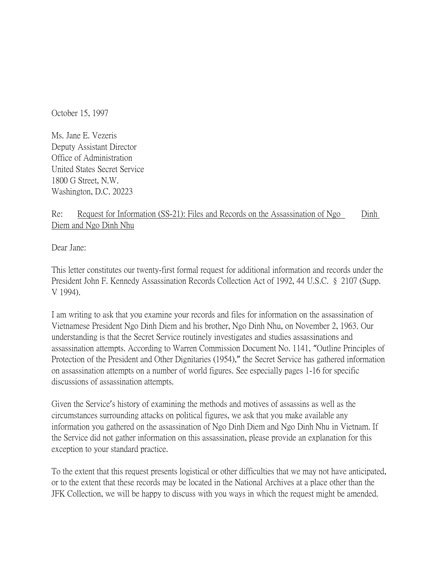October 15, 1997

Ms. Jane E. Vezeris Deputy Assistant Director Office of Administration United States Secret Service 1800 G Street, N.W. Washington, D.C. 20223

## Re: Request for Information (SS-21): Files and Records on the Assassination of Ngo Dinh Diem and Ngo Dinh Nhu

Dear Jane:

This letter constitutes our twenty-first formal request for additional information and records under the President John F. Kennedy Assassination Records Collection Act of 1992, 44 U.S.C. § 2107 (Supp. V 1994).

I am writing to ask that you examine your records and files for information on the assassination of Vietnamese President Ngo Dinh Diem and his brother, Ngo Dinh Nhu, on November 2, 1963. Our understanding is that the Secret Service routinely investigates and studies assassinations and assassination attempts. According to Warren Commission Document No. 1141, "Outline Principles of Protection of the President and Other Dignitaries (1954)," the Secret Service has gathered information on assassination attempts on a number of world figures. See especially pages 1-16 for specific discussions of assassination attempts.

Given the Service's history of examining the methods and motives of assassins as well as the circumstances surrounding attacks on political figures, we ask that you make available any information you gathered on the assassination of Ngo Dinh Diem and Ngo Dinh Nhu in Vietnam. If the Service did not gather information on this assassination, please provide an explanation for this exception to your standard practice.

To the extent that this request presents logistical or other difficulties that we may not have anticipated, or to the extent that these records may be located in the National Archives at a place other than the JFK Collection, we will be happy to discuss with you ways in which the request might be amended.